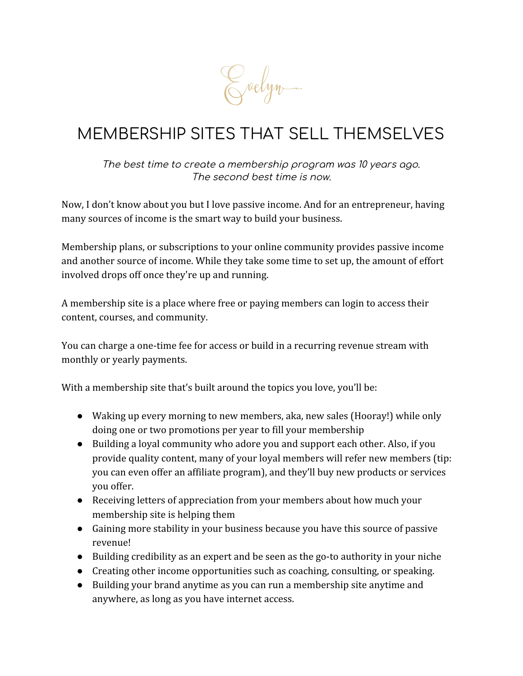Evelyn.

# MEMBERSHIP SITES THAT SELL THEMSELVES

The best time to create <sup>a</sup> membership program was 10 years ago. The second best time is now.

Now, I don't know about you but I love passive income. And for an entrepreneur, having many sources of income is the smart way to build your business.

Membership plans, or subscriptions to your online community provides passive income and another source of income. While they take some time to set up, the amount of effort involved drops off once they're up and running.

A membership site is a place where free or paying members can login to access their content, courses, and community.

You can charge a one-time fee for access or build in a recurring revenue stream with monthly or yearly payments.

With a membership site that's built around the topics you love, you'll be:

- Waking up every morning to new members, aka, new sales (Hooray!) while only doing one or two promotions per year to fill your membership
- Building a loyal community who adore you and support each other. Also, if you provide quality content, many of your loyal members will refer new members (tip: you can even offer an affiliate program), and they'll buy new products or services you offer.
- Receiving letters of appreciation from your members about how much your membership site is helping them
- Gaining more stability in your business because you have this source of passive revenue!
- Building credibility as an expert and be seen as the go-to authority in your niche
- Creating other income opportunities such as coaching, consulting, or speaking.
- Building your brand anytime as you can run a membership site anytime and anywhere, as long as you have internet access.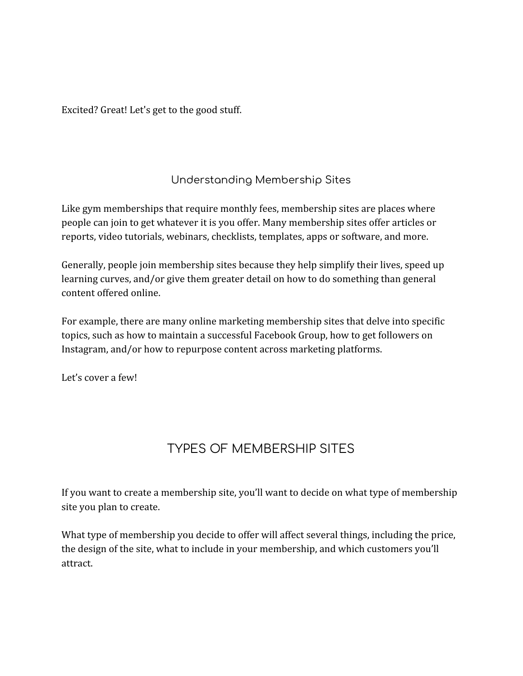Excited? Great! Let's get to the good stuff.

### Understanding Membership Sites

Like gym memberships that require monthly fees, membership sites are places where people can join to get whatever it is you offer. Many membership sites offer articles or reports, video tutorials, webinars, checklists, templates, apps or software, and more.

Generally, people join membership sites because they help simplify their lives, speed up learning curves, and/or give them greater detail on how to do something than general content offered online.

For example, there are many online marketing membership sites that delve into specific topics, such as how to maintain a successful Facebook Group, how to get followers on Instagram, and/or how to repurpose content across marketing platforms.

Let's cover a few!

## TYPES OF MEMBERSHIP SITES

If you want to create a membership site, you'll want to decide on what type of membership site you plan to create.

What type of membership you decide to offer will affect several things, including the price, the design of the site, what to include in your membership, and which customers you'll attract.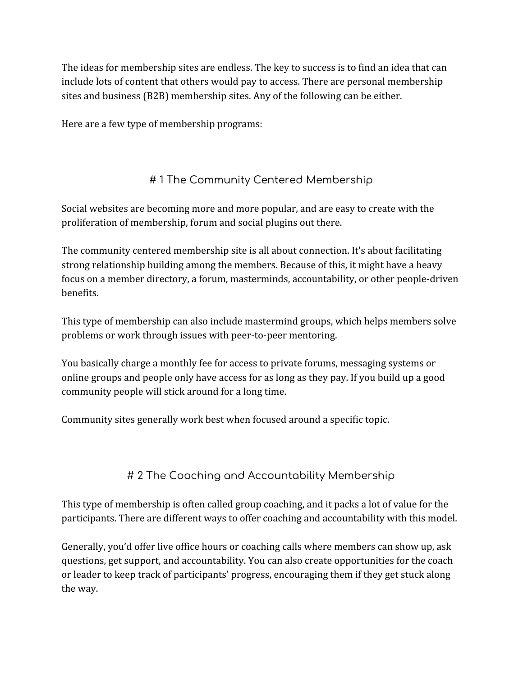The ideas for membership sites are endless. The key to success is to find an idea that can include lots of content that others would pay to access. There are personal membership sites and business (B2B) membership sites. Any of the following can be either.

Here are a few type of membership programs:

### # 1 The Community Centered Membership

Social websites are becoming more and more popular, and are easy to create with the proliferation of membership, forum and social plugins out there.

The community centered membership site is all about connection. It's about facilitating strong relationship building among the members. Because of this, it might have a heavy focus on a member directory, a forum, masterminds, accountability, or other people-driven benefits.

This type of membership can also include mastermind groups, which helps members solve problems or work through issues with peer-to-peer mentoring.

You basically charge a monthly fee for access to private forums, messaging systems or online groups and people only have access for as long as they pay. If you build up a good community people will stick around for a long time.

Community sites generally work best when focused around a specific topic.

#### # 2 The Coaching and Accountability Membership

This type of membership is often called group coaching, and it packs a lot of value for the participants. There are different ways to offer coaching and accountability with this model.

Generally, you'd offer live office hours or coaching calls where members can show up, ask questions, get support, and accountability. You can also create opportunities for the coach or leader to keep track of participants' progress, encouraging them if they get stuck along the way.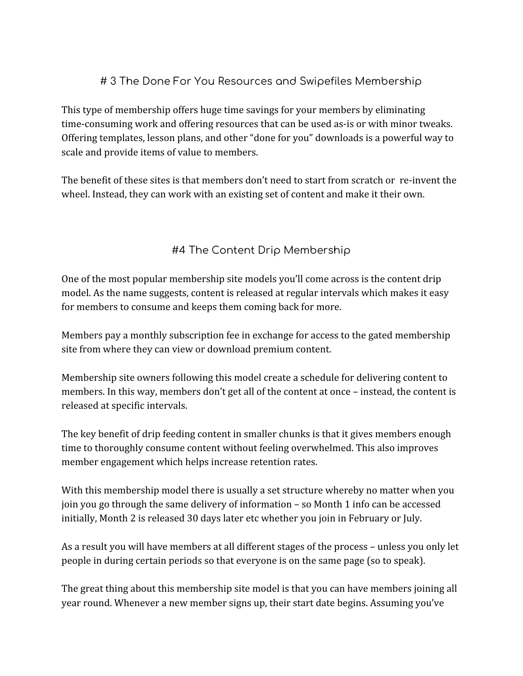#### # 3 The Done For You Resources and Swipefiles Membership

This type of membership offers huge time savings for your members by eliminating time-consuming work and offering resources that can be used as-is or with minor tweaks. Offering templates, lesson plans, and other "done for you" downloads is a powerful way to scale and provide items of value to members.

The benefit of these sites is that members don't need to start from scratch or re-invent the wheel. Instead, they can work with an existing set of content and make it their own.

#### #4 The Content Drip Membership

One of the most popular membership site models you'll come across is the content drip model. As the name suggests, content is released at regular intervals which makes it easy for members to consume and keeps them coming back for more.

Members pay a monthly subscription fee in exchange for access to the gated membership site from where they can view or download premium content.

Membership site owners following this model create a schedule for delivering content to members. In this way, members don't get all of the content at once – instead, the content is released at specific intervals.

The key benefit of drip feeding content in smaller chunks is that it gives members enough time to thoroughly consume content without feeling overwhelmed. This also improves member engagement which helps increase retention rates.

With this membership model there is usually a set structure whereby no matter when you join you go through the same delivery of information – so Month 1 info can be accessed initially, Month 2 is released 30 days later etc whether you join in February or July.

As a result you will have members at all different stages of the process – unless you only let people in during certain periods so that everyone is on the same page (so to speak).

The great thing about this membership site model is that you can have members joining all year round. Whenever a new member signs up, their start date begins. Assuming you've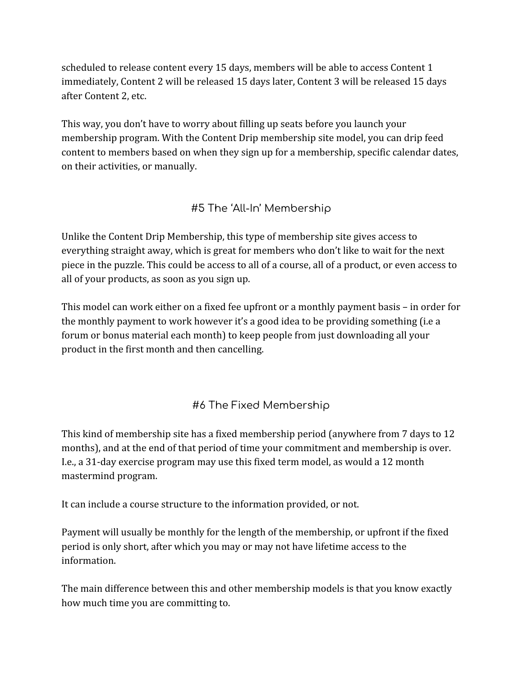scheduled to release content every 15 days, members will be able to access Content 1 immediately, Content 2 will be released 15 days later, Content 3 will be released 15 days after Content 2, etc.

This way, you don't have to worry about filling up seats before you launch your membership program. With the Content Drip membership site model, you can drip feed content to members based on when they sign up for a membership, specific calendar dates, on their activities, or manually.

### #5 The 'All-In' Membership

Unlike the Content Drip Membership, this type of membership site gives access to everything straight away, which is great for members who don't like to wait for the next piece in the puzzle. This could be access to all of a course, all of a product, or even access to all of your products, as soon as you sign up.

This model can work either on a fixed fee upfront or a monthly payment basis – in order for the monthly payment to work however it's a good idea to be providing something (i.e a forum or bonus material each month) to keep people from just downloading all your product in the first month and then cancelling.

#### #6 The Fixed Membership

This kind of membership site has a fixed membership period (anywhere from 7 days to 12 months), and at the end of that period of time your commitment and membership is over. I.e., a 31-day exercise program may use this fixed term model, as would a 12 month mastermind program.

It can include a course structure to the information provided, or not.

Payment will usually be monthly for the length of the membership, or upfront if the fixed period is only short, after which you may or may not have lifetime access to the information.

The main difference between this and other membership models is that you know exactly how much time you are committing to.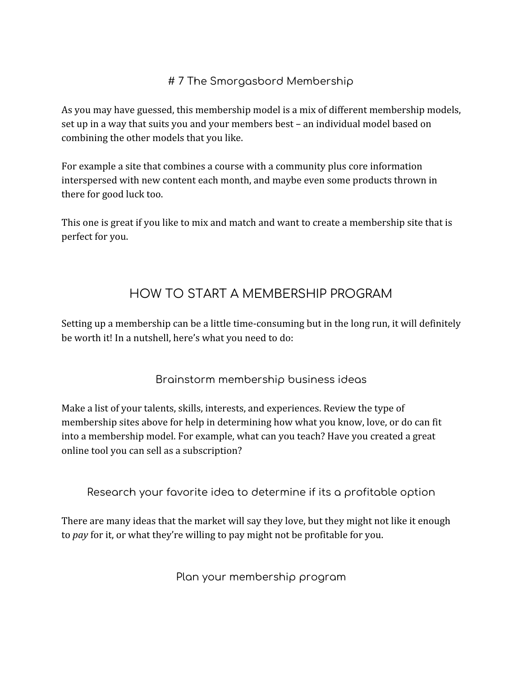#### # 7 The Smorgasbord Membership

As you may have guessed, this membership model is a mix of different membership models, set up in a way that suits you and your members best – an individual model based on combining the other models that you like.

For example a site that combines a course with a community plus core information interspersed with new content each month, and maybe even some products thrown in there for good luck too.

This one is great if you like to mix and match and want to create a membership site that is perfect for you.

## HOW TO START A MEMBERSHIP PROGRAM

Setting up a membership can be a little time-consuming but in the long run, it will definitely be worth it! In a nutshell, here's what you need to do:

#### Brainstorm membership business ideas

Make a list of your talents, skills, interests, and experiences. Review the type of membership sites above for help in determining how what you know, love, or do can fit into a membership model. For example, what can you teach? Have you created a great online tool you can sell as a subscription?

Research your favorite idea to determine if its a profitable option

There are many ideas that the market will say they love, but they might not like it enough to *pay* for it, or what they're willing to pay might not be profitable for you.

Plan your membership program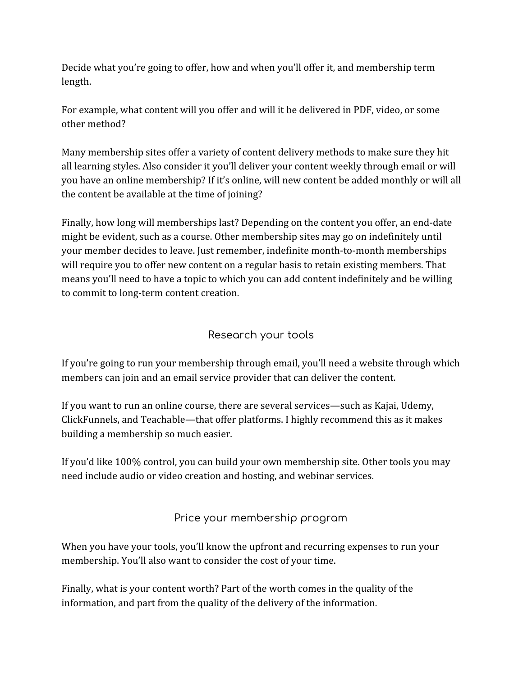Decide what you're going to offer, how and when you'll offer it, and membership term length.

For example, what content will you offer and will it be delivered in PDF, video, or some other method?

Many membership sites offer a variety of content delivery methods to make sure they hit all learning styles. Also consider it you'll deliver your content weekly through email or will you have an online membership? If it's online, will new content be added monthly or will all the content be available at the time of joining?

Finally, how long will memberships last? Depending on the content you offer, an end-date might be evident, such as a course. Other membership sites may go on indefinitely until your member decides to leave. Just remember, indefinite month-to-month memberships will require you to offer new content on a regular basis to retain existing members. That means you'll need to have a topic to which you can add content indefinitely and be willing to commit to long-term content creation.

#### Research your tools

If you're going to run your membership through email, you'll need a website through which members can join and an email service provider that can deliver the content.

If you want to run an online course, there are several services—such as Kajai, Udemy, ClickFunnels, and Teachable—that offer platforms. I highly recommend this as it makes building a membership so much easier.

If you'd like 100% control, you can build your own membership site. Other tools you may need include audio or video creation and hosting, and webinar services.

Price your membership program

When you have your tools, you'll know the upfront and recurring expenses to run your membership. You'll also want to consider the cost of your time.

Finally, what is your content worth? Part of the worth comes in the quality of the information, and part from the quality of the delivery of the information.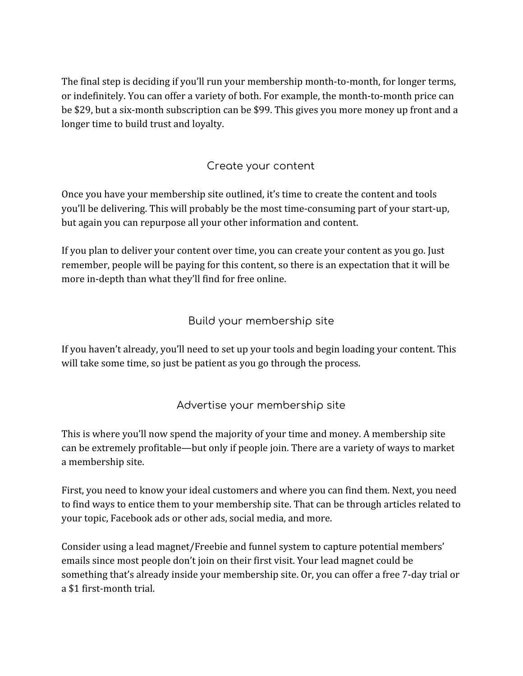The final step is deciding if you'll run your membership month-to-month, for longer terms, or indefinitely. You can offer a variety of both. For example, the month-to-month price can be \$29, but a six-month subscription can be \$99. This gives you more money up front and a longer time to build trust and loyalty.

#### Create your content

Once you have your membership site outlined, it's time to create the content and tools you'll be delivering. This will probably be the most time-consuming part of your start-up, but again you can repurpose all your other information and content.

If you plan to deliver your content over time, you can create your content as you go. Just remember, people will be paying for this content, so there is an expectation that it will be more in-depth than what they'll find for free online.

#### Build your membership site

If you haven't already, you'll need to set up your tools and begin loading your content. This will take some time, so just be patient as you go through the process.

#### Advertise your membership site

This is where you'll now spend the majority of your time and money. A membership site can be extremely profitable—but only if people join. There are a variety of ways to market a membership site.

First, you need to know your ideal customers and where you can find them. Next, you need to find ways to entice them to your membership site. That can be through articles related to your topic, Facebook ads or other ads, social media, and more.

Consider using a lead magnet/Freebie and funnel system to capture potential members' emails since most people don't join on their first visit. Your lead magnet could be something that's already inside your membership site. Or, you can offer a free 7-day trial or a \$1 first-month trial.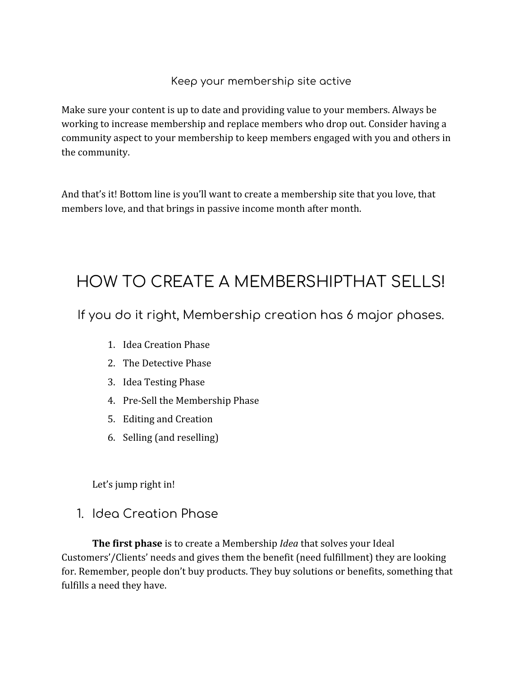#### Keep your membership site active

Make sure your content is up to date and providing value to your members. Always be working to increase membership and replace members who drop out. Consider having a community aspect to your membership to keep members engaged with you and others in the community.

And that's it! Bottom line is you'll want to create a membership site that you love, that members love, and that brings in passive income month after month.

# HOW TO CREATE A MEMBERSHIPTHAT SELLS!

If you do it right, Membership creation has 6 major phases.

- 1. Idea Creation Phase
- 2. The Detective Phase
- 3. Idea Testing Phase
- 4. Pre-Sell the Membership Phase
- 5. Editing and Creation
- 6. Selling (and reselling)

Let's jump right in!

1. Idea Creation Phase

**The first phase** is to create a Membership *Idea* that solves your Ideal Customers'/Clients' needs and gives them the benefit (need fulfillment) they are looking for. Remember, people don't buy products. They buy solutions or benefits, something that fulfills a need they have.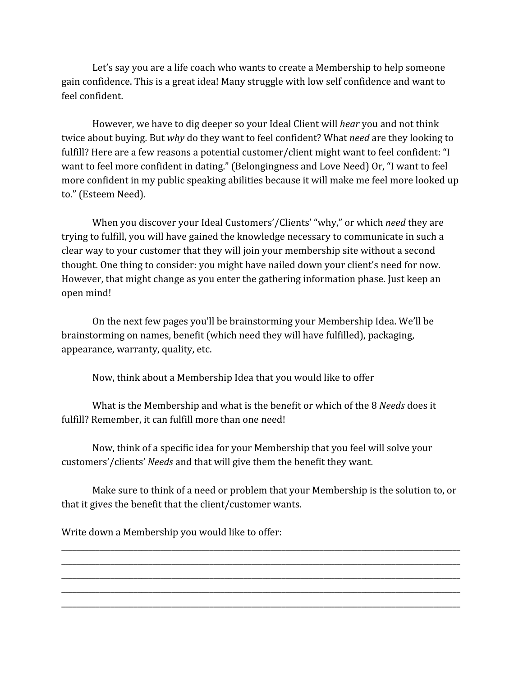Let's say you are a life coach who wants to create a Membership to help someone gain confidence. This is a great idea! Many struggle with low self confidence and want to feel confident.

However, we have to dig deeper so your Ideal Client will *hear* you and not think twice about buying. But *why* do they want to feel confident? What *need* are they looking to fulfill? Here are a few reasons a potential customer/client might want to feel confident: "I want to feel more confident in dating." (Belongingness and Love Need) Or, "I want to feel more confident in my public speaking abilities because it will make me feel more looked up to." (Esteem Need).

When you discover your Ideal Customers'/Clients' "why," or which *need* they are trying to fulfill, you will have gained the knowledge necessary to communicate in such a clear way to your customer that they will join your membership site without a second thought. One thing to consider: you might have nailed down your client's need for now. However, that might change as you enter the gathering information phase. Just keep an open mind!

On the next few pages you'll be brainstorming your Membership Idea. We'll be brainstorming on names, benefit (which need they will have fulfilled), packaging, appearance, warranty, quality, etc.

Now, think about a Membership Idea that you would like to offer

What is the Membership and what is the benefit or which of the 8 *Needs* does it fulfill? Remember, it can fulfill more than one need!

Now, think of a specific idea for your Membership that you feel will solve your customers'/clients' *Needs* and that will give them the benefit they want.

Make sure to think of a need or problem that your Membership is the solution to, or that it gives the benefit that the client/customer wants.

\_\_\_\_\_\_\_\_\_\_\_\_\_\_\_\_\_\_\_\_\_\_\_\_\_\_\_\_\_\_\_\_\_\_\_\_\_\_\_\_\_\_\_\_\_\_\_\_\_\_\_\_\_\_\_\_\_\_\_\_\_\_\_\_\_\_\_\_\_\_\_\_\_\_\_\_\_\_\_\_\_\_\_\_\_\_\_\_\_\_\_\_\_\_\_\_\_\_\_\_\_\_\_\_\_ \_\_\_\_\_\_\_\_\_\_\_\_\_\_\_\_\_\_\_\_\_\_\_\_\_\_\_\_\_\_\_\_\_\_\_\_\_\_\_\_\_\_\_\_\_\_\_\_\_\_\_\_\_\_\_\_\_\_\_\_\_\_\_\_\_\_\_\_\_\_\_\_\_\_\_\_\_\_\_\_\_\_\_\_\_\_\_\_\_\_\_\_\_\_\_\_\_\_\_\_\_\_\_\_\_ \_\_\_\_\_\_\_\_\_\_\_\_\_\_\_\_\_\_\_\_\_\_\_\_\_\_\_\_\_\_\_\_\_\_\_\_\_\_\_\_\_\_\_\_\_\_\_\_\_\_\_\_\_\_\_\_\_\_\_\_\_\_\_\_\_\_\_\_\_\_\_\_\_\_\_\_\_\_\_\_\_\_\_\_\_\_\_\_\_\_\_\_\_\_\_\_\_\_\_\_\_\_\_\_\_ \_\_\_\_\_\_\_\_\_\_\_\_\_\_\_\_\_\_\_\_\_\_\_\_\_\_\_\_\_\_\_\_\_\_\_\_\_\_\_\_\_\_\_\_\_\_\_\_\_\_\_\_\_\_\_\_\_\_\_\_\_\_\_\_\_\_\_\_\_\_\_\_\_\_\_\_\_\_\_\_\_\_\_\_\_\_\_\_\_\_\_\_\_\_\_\_\_\_\_\_\_\_\_\_\_ \_\_\_\_\_\_\_\_\_\_\_\_\_\_\_\_\_\_\_\_\_\_\_\_\_\_\_\_\_\_\_\_\_\_\_\_\_\_\_\_\_\_\_\_\_\_\_\_\_\_\_\_\_\_\_\_\_\_\_\_\_\_\_\_\_\_\_\_\_\_\_\_\_\_\_\_\_\_\_\_\_\_\_\_\_\_\_\_\_\_\_\_\_\_\_\_\_\_\_\_\_\_\_\_\_

Write down a Membership you would like to offer: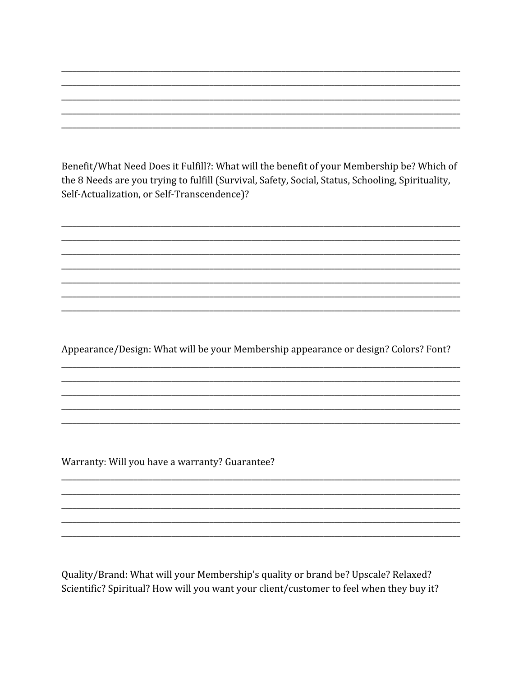Benefit/What Need Does it Fulfill?: What will the benefit of your Membership be? Which of the 8 Needs are you trying to fulfill (Survival, Safety, Social, Status, Schooling, Spirituality, Self-Actualization, or Self-Transcendence)?

Appearance/Design: What will be your Membership appearance or design? Colors? Font?

Warranty: Will you have a warranty? Guarantee?

Quality/Brand: What will your Membership's quality or brand be? Upscale? Relaxed? Scientific? Spiritual? How will you want your client/customer to feel when they buy it?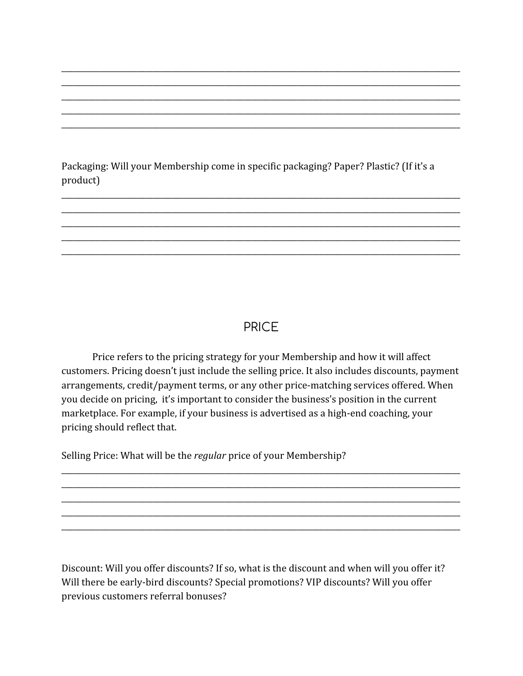Packaging: Will your Membership come in specific packaging? Paper? Plastic? (If it's a product)

# **PRICE**

Price refers to the pricing strategy for your Membership and how it will affect customers. Pricing doesn't just include the selling price. It also includes discounts, payment arrangements, credit/payment terms, or any other price-matching services offered. When you decide on pricing, it's important to consider the business's position in the current marketplace. For example, if your business is advertised as a high-end coaching, your pricing should reflect that.

Selling Price: What will be the *regular* price of your Membership?

Discount: Will you offer discounts? If so, what is the discount and when will you offer it? Will there be early-bird discounts? Special promotions? VIP discounts? Will you offer previous customers referral bonuses?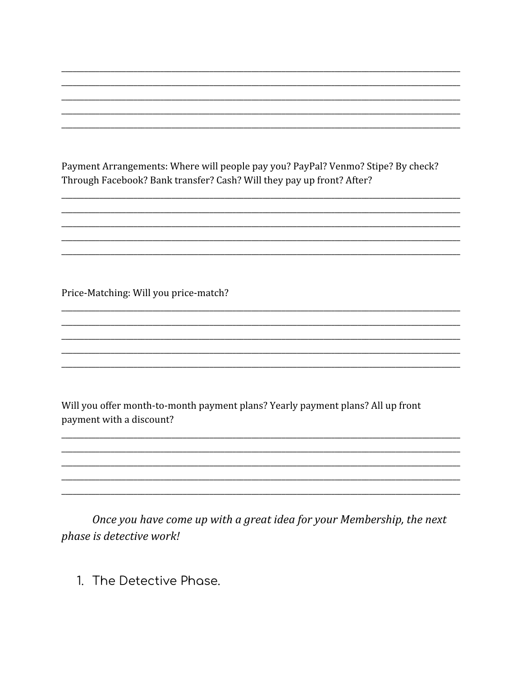Payment Arrangements: Where will people pay you? PayPal? Venmo? Stipe? By check? Through Facebook? Bank transfer? Cash? Will they pay up front? After?

Price-Matching: Will you price-match?

Will you offer month-to-month payment plans? Yearly payment plans? All up front payment with a discount?

Once you have come up with a great idea for your Membership, the next phase is detective work!

1. The Detective Phase.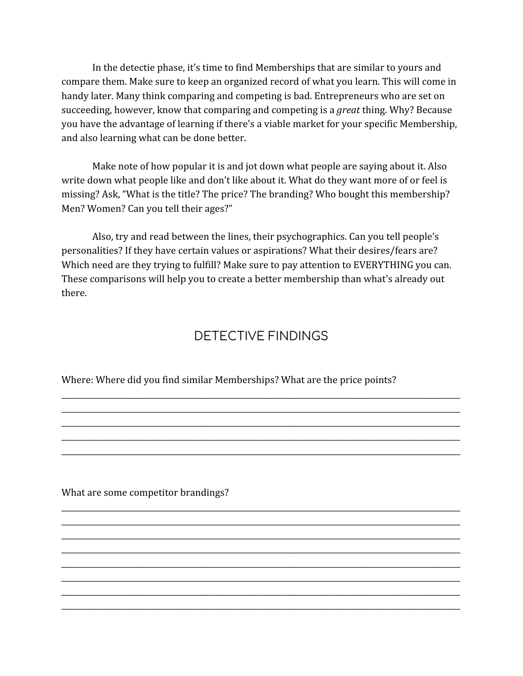In the detectie phase, it's time to find Memberships that are similar to yours and compare them. Make sure to keep an organized record of what you learn. This will come in handy later. Many think comparing and competing is bad. Entrepreneurs who are set on succeeding, however, know that comparing and competing is a *great* thing. Why? Because you have the advantage of learning if there's a viable market for your specific Membership, and also learning what can be done better.

Make note of how popular it is and jot down what people are saying about it. Also write down what people like and don't like about it. What do they want more of or feel is missing? Ask, "What is the title? The price? The branding? Who bought this membership? Men? Women? Can you tell their ages?"

Also, try and read between the lines, their psychographics. Can you tell people's personalities? If they have certain values or aspirations? What their desires/fears are? Which need are they trying to fulfill? Make sure to pay attention to EVERYTHING you can. These comparisons will help you to create a better membership than what's already out there.

#### DETECTIVE FINDINGS

\_\_\_\_\_\_\_\_\_\_\_\_\_\_\_\_\_\_\_\_\_\_\_\_\_\_\_\_\_\_\_\_\_\_\_\_\_\_\_\_\_\_\_\_\_\_\_\_\_\_\_\_\_\_\_\_\_\_\_\_\_\_\_\_\_\_\_\_\_\_\_\_\_\_\_\_\_\_\_\_\_\_\_\_\_\_\_\_\_\_\_\_\_\_\_\_\_\_\_\_\_\_\_\_\_ \_\_\_\_\_\_\_\_\_\_\_\_\_\_\_\_\_\_\_\_\_\_\_\_\_\_\_\_\_\_\_\_\_\_\_\_\_\_\_\_\_\_\_\_\_\_\_\_\_\_\_\_\_\_\_\_\_\_\_\_\_\_\_\_\_\_\_\_\_\_\_\_\_\_\_\_\_\_\_\_\_\_\_\_\_\_\_\_\_\_\_\_\_\_\_\_\_\_\_\_\_\_\_\_\_ \_\_\_\_\_\_\_\_\_\_\_\_\_\_\_\_\_\_\_\_\_\_\_\_\_\_\_\_\_\_\_\_\_\_\_\_\_\_\_\_\_\_\_\_\_\_\_\_\_\_\_\_\_\_\_\_\_\_\_\_\_\_\_\_\_\_\_\_\_\_\_\_\_\_\_\_\_\_\_\_\_\_\_\_\_\_\_\_\_\_\_\_\_\_\_\_\_\_\_\_\_\_\_\_\_ \_\_\_\_\_\_\_\_\_\_\_\_\_\_\_\_\_\_\_\_\_\_\_\_\_\_\_\_\_\_\_\_\_\_\_\_\_\_\_\_\_\_\_\_\_\_\_\_\_\_\_\_\_\_\_\_\_\_\_\_\_\_\_\_\_\_\_\_\_\_\_\_\_\_\_\_\_\_\_\_\_\_\_\_\_\_\_\_\_\_\_\_\_\_\_\_\_\_\_\_\_\_\_\_\_ \_\_\_\_\_\_\_\_\_\_\_\_\_\_\_\_\_\_\_\_\_\_\_\_\_\_\_\_\_\_\_\_\_\_\_\_\_\_\_\_\_\_\_\_\_\_\_\_\_\_\_\_\_\_\_\_\_\_\_\_\_\_\_\_\_\_\_\_\_\_\_\_\_\_\_\_\_\_\_\_\_\_\_\_\_\_\_\_\_\_\_\_\_\_\_\_\_\_\_\_\_\_\_\_\_

\_\_\_\_\_\_\_\_\_\_\_\_\_\_\_\_\_\_\_\_\_\_\_\_\_\_\_\_\_\_\_\_\_\_\_\_\_\_\_\_\_\_\_\_\_\_\_\_\_\_\_\_\_\_\_\_\_\_\_\_\_\_\_\_\_\_\_\_\_\_\_\_\_\_\_\_\_\_\_\_\_\_\_\_\_\_\_\_\_\_\_\_\_\_\_\_\_\_\_\_\_\_\_\_\_ \_\_\_\_\_\_\_\_\_\_\_\_\_\_\_\_\_\_\_\_\_\_\_\_\_\_\_\_\_\_\_\_\_\_\_\_\_\_\_\_\_\_\_\_\_\_\_\_\_\_\_\_\_\_\_\_\_\_\_\_\_\_\_\_\_\_\_\_\_\_\_\_\_\_\_\_\_\_\_\_\_\_\_\_\_\_\_\_\_\_\_\_\_\_\_\_\_\_\_\_\_\_\_\_\_ \_\_\_\_\_\_\_\_\_\_\_\_\_\_\_\_\_\_\_\_\_\_\_\_\_\_\_\_\_\_\_\_\_\_\_\_\_\_\_\_\_\_\_\_\_\_\_\_\_\_\_\_\_\_\_\_\_\_\_\_\_\_\_\_\_\_\_\_\_\_\_\_\_\_\_\_\_\_\_\_\_\_\_\_\_\_\_\_\_\_\_\_\_\_\_\_\_\_\_\_\_\_\_\_\_ \_\_\_\_\_\_\_\_\_\_\_\_\_\_\_\_\_\_\_\_\_\_\_\_\_\_\_\_\_\_\_\_\_\_\_\_\_\_\_\_\_\_\_\_\_\_\_\_\_\_\_\_\_\_\_\_\_\_\_\_\_\_\_\_\_\_\_\_\_\_\_\_\_\_\_\_\_\_\_\_\_\_\_\_\_\_\_\_\_\_\_\_\_\_\_\_\_\_\_\_\_\_\_\_\_ \_\_\_\_\_\_\_\_\_\_\_\_\_\_\_\_\_\_\_\_\_\_\_\_\_\_\_\_\_\_\_\_\_\_\_\_\_\_\_\_\_\_\_\_\_\_\_\_\_\_\_\_\_\_\_\_\_\_\_\_\_\_\_\_\_\_\_\_\_\_\_\_\_\_\_\_\_\_\_\_\_\_\_\_\_\_\_\_\_\_\_\_\_\_\_\_\_\_\_\_\_\_\_\_\_ \_\_\_\_\_\_\_\_\_\_\_\_\_\_\_\_\_\_\_\_\_\_\_\_\_\_\_\_\_\_\_\_\_\_\_\_\_\_\_\_\_\_\_\_\_\_\_\_\_\_\_\_\_\_\_\_\_\_\_\_\_\_\_\_\_\_\_\_\_\_\_\_\_\_\_\_\_\_\_\_\_\_\_\_\_\_\_\_\_\_\_\_\_\_\_\_\_\_\_\_\_\_\_\_\_ \_\_\_\_\_\_\_\_\_\_\_\_\_\_\_\_\_\_\_\_\_\_\_\_\_\_\_\_\_\_\_\_\_\_\_\_\_\_\_\_\_\_\_\_\_\_\_\_\_\_\_\_\_\_\_\_\_\_\_\_\_\_\_\_\_\_\_\_\_\_\_\_\_\_\_\_\_\_\_\_\_\_\_\_\_\_\_\_\_\_\_\_\_\_\_\_\_\_\_\_\_\_\_\_\_ \_\_\_\_\_\_\_\_\_\_\_\_\_\_\_\_\_\_\_\_\_\_\_\_\_\_\_\_\_\_\_\_\_\_\_\_\_\_\_\_\_\_\_\_\_\_\_\_\_\_\_\_\_\_\_\_\_\_\_\_\_\_\_\_\_\_\_\_\_\_\_\_\_\_\_\_\_\_\_\_\_\_\_\_\_\_\_\_\_\_\_\_\_\_\_\_\_\_\_\_\_\_\_\_\_

Where: Where did you find similar Memberships? What are the price points?

What are some competitor brandings?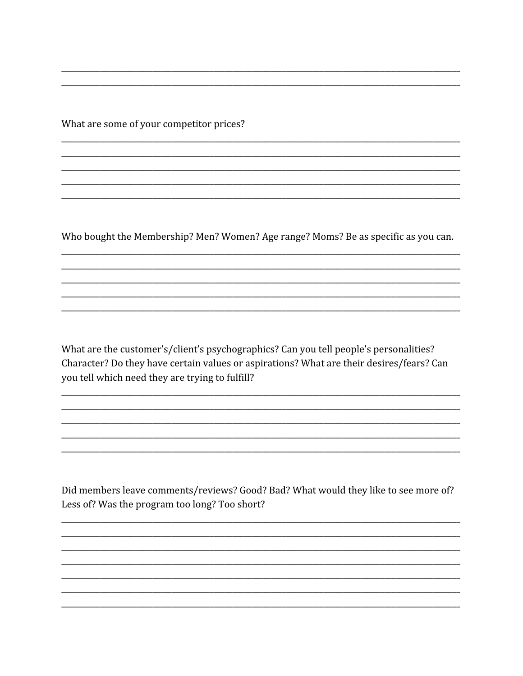What are some of your competitor prices?

Who bought the Membership? Men? Women? Age range? Moms? Be as specific as you can.

What are the customer's/client's psychographics? Can you tell people's personalities? Character? Do they have certain values or aspirations? What are their desires/fears? Can you tell which need they are trying to fulfill?

Did members leave comments/reviews? Good? Bad? What would they like to see more of? Less of? Was the program too long? Too short?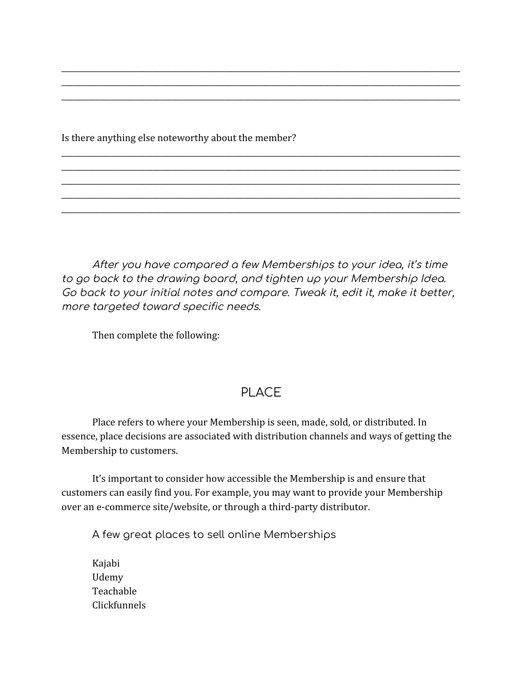Is there anything else noteworthy about the member?

After you have compared a few Memberships to your idea, it's time to go back to the drawing board, and tighten up your Membership Idea. Go back to your initial notes and compare. Tweak it, edit it, make it better, more targeted toward specific needs.

\_\_\_\_\_\_\_\_\_\_\_\_\_\_\_\_\_\_\_\_\_\_\_\_\_\_\_\_\_\_\_\_\_\_\_\_\_\_\_\_\_\_\_\_\_\_\_\_\_\_\_\_\_\_\_\_\_\_\_\_\_\_\_\_\_\_\_\_\_\_\_\_\_\_\_\_\_\_\_\_\_\_\_\_\_\_\_\_\_\_\_\_\_\_\_\_\_\_\_\_\_\_\_\_\_ \_\_\_\_\_\_\_\_\_\_\_\_\_\_\_\_\_\_\_\_\_\_\_\_\_\_\_\_\_\_\_\_\_\_\_\_\_\_\_\_\_\_\_\_\_\_\_\_\_\_\_\_\_\_\_\_\_\_\_\_\_\_\_\_\_\_\_\_\_\_\_\_\_\_\_\_\_\_\_\_\_\_\_\_\_\_\_\_\_\_\_\_\_\_\_\_\_\_\_\_\_\_\_\_\_ \_\_\_\_\_\_\_\_\_\_\_\_\_\_\_\_\_\_\_\_\_\_\_\_\_\_\_\_\_\_\_\_\_\_\_\_\_\_\_\_\_\_\_\_\_\_\_\_\_\_\_\_\_\_\_\_\_\_\_\_\_\_\_\_\_\_\_\_\_\_\_\_\_\_\_\_\_\_\_\_\_\_\_\_\_\_\_\_\_\_\_\_\_\_\_\_\_\_\_\_\_\_\_\_\_

\_\_\_\_\_\_\_\_\_\_\_\_\_\_\_\_\_\_\_\_\_\_\_\_\_\_\_\_\_\_\_\_\_\_\_\_\_\_\_\_\_\_\_\_\_\_\_\_\_\_\_\_\_\_\_\_\_\_\_\_\_\_\_\_\_\_\_\_\_\_\_\_\_\_\_\_\_\_\_\_\_\_\_\_\_\_\_\_\_\_\_\_\_\_\_\_\_\_\_\_\_\_\_\_\_ \_\_\_\_\_\_\_\_\_\_\_\_\_\_\_\_\_\_\_\_\_\_\_\_\_\_\_\_\_\_\_\_\_\_\_\_\_\_\_\_\_\_\_\_\_\_\_\_\_\_\_\_\_\_\_\_\_\_\_\_\_\_\_\_\_\_\_\_\_\_\_\_\_\_\_\_\_\_\_\_\_\_\_\_\_\_\_\_\_\_\_\_\_\_\_\_\_\_\_\_\_\_\_\_\_ \_\_\_\_\_\_\_\_\_\_\_\_\_\_\_\_\_\_\_\_\_\_\_\_\_\_\_\_\_\_\_\_\_\_\_\_\_\_\_\_\_\_\_\_\_\_\_\_\_\_\_\_\_\_\_\_\_\_\_\_\_\_\_\_\_\_\_\_\_\_\_\_\_\_\_\_\_\_\_\_\_\_\_\_\_\_\_\_\_\_\_\_\_\_\_\_\_\_\_\_\_\_\_\_\_ \_\_\_\_\_\_\_\_\_\_\_\_\_\_\_\_\_\_\_\_\_\_\_\_\_\_\_\_\_\_\_\_\_\_\_\_\_\_\_\_\_\_\_\_\_\_\_\_\_\_\_\_\_\_\_\_\_\_\_\_\_\_\_\_\_\_\_\_\_\_\_\_\_\_\_\_\_\_\_\_\_\_\_\_\_\_\_\_\_\_\_\_\_\_\_\_\_\_\_\_\_\_\_\_\_ \_\_\_\_\_\_\_\_\_\_\_\_\_\_\_\_\_\_\_\_\_\_\_\_\_\_\_\_\_\_\_\_\_\_\_\_\_\_\_\_\_\_\_\_\_\_\_\_\_\_\_\_\_\_\_\_\_\_\_\_\_\_\_\_\_\_\_\_\_\_\_\_\_\_\_\_\_\_\_\_\_\_\_\_\_\_\_\_\_\_\_\_\_\_\_\_\_\_\_\_\_\_\_\_\_

Then complete the following:

### PLACE

Place refers to where your Membership is seen, made, sold, or distributed. In essence, place decisions are associated with distribution channels and ways of getting the Membership to customers.

It's important to consider how accessible the Membership is and ensure that customers can easily find you. For example, you may want to provide your Membership over an e-commerce site/website, or through a third-party distributor.

A few great places to sell online Memberships

Kajabi Udemy Teachable Clickfunnels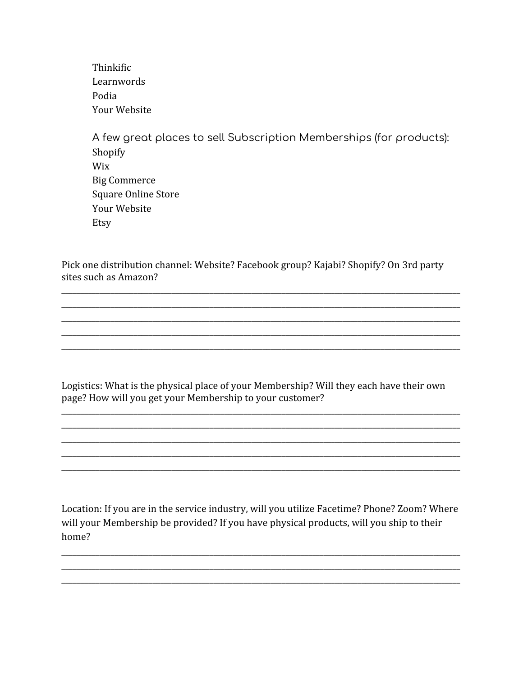Thinkific Learnwords Podia Your Website

A few great places to sell Subscription Memberships (for products): Shopify Wix **Big Commerce Square Online Store** Your Website Etsy

Pick one distribution channel: Website? Facebook group? Kajabi? Shopify? On 3rd party sites such as Amazon?

Logistics: What is the physical place of your Membership? Will they each have their own page? How will you get your Membership to your customer?

Location: If you are in the service industry, will you utilize Facetime? Phone? Zoom? Where will your Membership be provided? If you have physical products, will you ship to their home?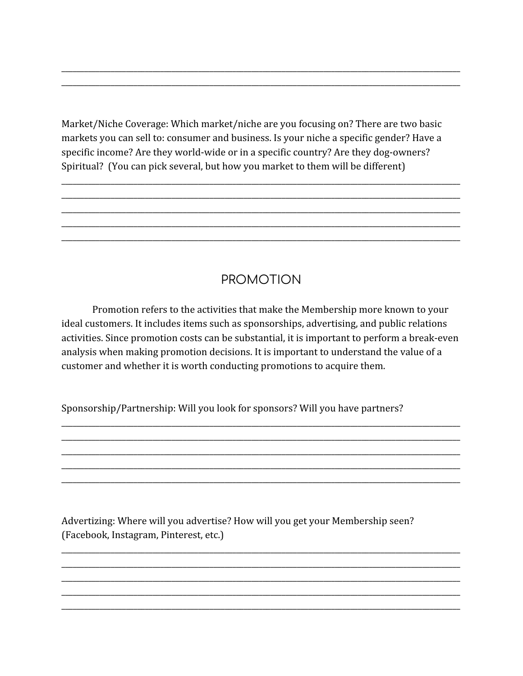Market/Niche Coverage: Which market/niche are you focusing on? There are two basic markets you can sell to: consumer and business. Is your niche a specific gender? Have a specific income? Are they world-wide or in a specific country? Are they dog-owners? Spiritual? (You can pick several, but how you market to them will be different)

## **PROMOTION**

Promotion refers to the activities that make the Membership more known to your ideal customers. It includes items such as sponsorships, advertising, and public relations activities. Since promotion costs can be substantial, it is important to perform a break-even analysis when making promotion decisions. It is important to understand the value of a customer and whether it is worth conducting promotions to acquire them.

Sponsorship/Partnership: Will you look for sponsors? Will you have partners?

Advertizing: Where will you advertise? How will you get your Membership seen? (Facebook, Instagram, Pinterest, etc.)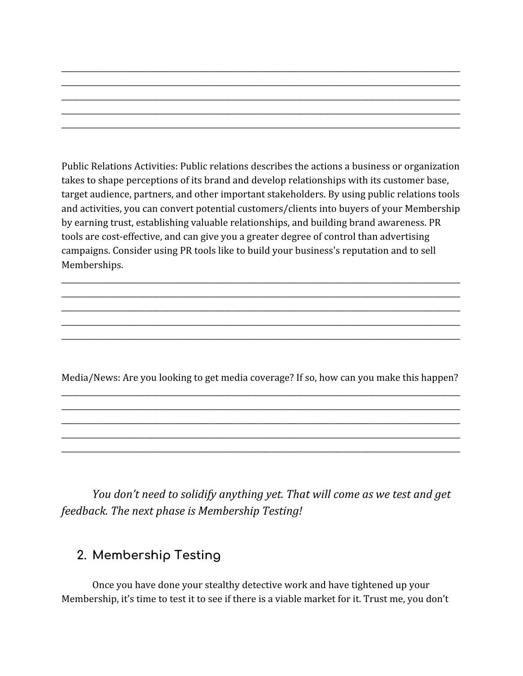Public Relations Activities: Public relations describes the actions a business or organization takes to shape perceptions of its brand and develop relationships with its customer base, target audience, partners, and other important stakeholders. By using public relations tools and activities, you can convert potential customers/clients into buyers of your Membership by earning trust, establishing valuable relationships, and building brand awareness. PR tools are cost-effective, and can give you a greater degree of control than advertising campaigns. Consider using PR tools like to build your business's reputation and to sell Memberships.

\_\_\_\_\_\_\_\_\_\_\_\_\_\_\_\_\_\_\_\_\_\_\_\_\_\_\_\_\_\_\_\_\_\_\_\_\_\_\_\_\_\_\_\_\_\_\_\_\_\_\_\_\_\_\_\_\_\_\_\_\_\_\_\_\_\_\_\_\_\_\_\_\_\_\_\_\_\_\_\_\_\_\_\_\_\_\_\_\_\_\_\_\_\_\_\_\_\_\_\_\_\_\_\_\_ \_\_\_\_\_\_\_\_\_\_\_\_\_\_\_\_\_\_\_\_\_\_\_\_\_\_\_\_\_\_\_\_\_\_\_\_\_\_\_\_\_\_\_\_\_\_\_\_\_\_\_\_\_\_\_\_\_\_\_\_\_\_\_\_\_\_\_\_\_\_\_\_\_\_\_\_\_\_\_\_\_\_\_\_\_\_\_\_\_\_\_\_\_\_\_\_\_\_\_\_\_\_\_\_\_ \_\_\_\_\_\_\_\_\_\_\_\_\_\_\_\_\_\_\_\_\_\_\_\_\_\_\_\_\_\_\_\_\_\_\_\_\_\_\_\_\_\_\_\_\_\_\_\_\_\_\_\_\_\_\_\_\_\_\_\_\_\_\_\_\_\_\_\_\_\_\_\_\_\_\_\_\_\_\_\_\_\_\_\_\_\_\_\_\_\_\_\_\_\_\_\_\_\_\_\_\_\_\_\_\_ \_\_\_\_\_\_\_\_\_\_\_\_\_\_\_\_\_\_\_\_\_\_\_\_\_\_\_\_\_\_\_\_\_\_\_\_\_\_\_\_\_\_\_\_\_\_\_\_\_\_\_\_\_\_\_\_\_\_\_\_\_\_\_\_\_\_\_\_\_\_\_\_\_\_\_\_\_\_\_\_\_\_\_\_\_\_\_\_\_\_\_\_\_\_\_\_\_\_\_\_\_\_\_\_\_ \_\_\_\_\_\_\_\_\_\_\_\_\_\_\_\_\_\_\_\_\_\_\_\_\_\_\_\_\_\_\_\_\_\_\_\_\_\_\_\_\_\_\_\_\_\_\_\_\_\_\_\_\_\_\_\_\_\_\_\_\_\_\_\_\_\_\_\_\_\_\_\_\_\_\_\_\_\_\_\_\_\_\_\_\_\_\_\_\_\_\_\_\_\_\_\_\_\_\_\_\_\_\_\_\_

\_\_\_\_\_\_\_\_\_\_\_\_\_\_\_\_\_\_\_\_\_\_\_\_\_\_\_\_\_\_\_\_\_\_\_\_\_\_\_\_\_\_\_\_\_\_\_\_\_\_\_\_\_\_\_\_\_\_\_\_\_\_\_\_\_\_\_\_\_\_\_\_\_\_\_\_\_\_\_\_\_\_\_\_\_\_\_\_\_\_\_\_\_\_\_\_\_\_\_\_\_\_\_\_\_ \_\_\_\_\_\_\_\_\_\_\_\_\_\_\_\_\_\_\_\_\_\_\_\_\_\_\_\_\_\_\_\_\_\_\_\_\_\_\_\_\_\_\_\_\_\_\_\_\_\_\_\_\_\_\_\_\_\_\_\_\_\_\_\_\_\_\_\_\_\_\_\_\_\_\_\_\_\_\_\_\_\_\_\_\_\_\_\_\_\_\_\_\_\_\_\_\_\_\_\_\_\_\_\_\_ \_\_\_\_\_\_\_\_\_\_\_\_\_\_\_\_\_\_\_\_\_\_\_\_\_\_\_\_\_\_\_\_\_\_\_\_\_\_\_\_\_\_\_\_\_\_\_\_\_\_\_\_\_\_\_\_\_\_\_\_\_\_\_\_\_\_\_\_\_\_\_\_\_\_\_\_\_\_\_\_\_\_\_\_\_\_\_\_\_\_\_\_\_\_\_\_\_\_\_\_\_\_\_\_\_ \_\_\_\_\_\_\_\_\_\_\_\_\_\_\_\_\_\_\_\_\_\_\_\_\_\_\_\_\_\_\_\_\_\_\_\_\_\_\_\_\_\_\_\_\_\_\_\_\_\_\_\_\_\_\_\_\_\_\_\_\_\_\_\_\_\_\_\_\_\_\_\_\_\_\_\_\_\_\_\_\_\_\_\_\_\_\_\_\_\_\_\_\_\_\_\_\_\_\_\_\_\_\_\_\_ \_\_\_\_\_\_\_\_\_\_\_\_\_\_\_\_\_\_\_\_\_\_\_\_\_\_\_\_\_\_\_\_\_\_\_\_\_\_\_\_\_\_\_\_\_\_\_\_\_\_\_\_\_\_\_\_\_\_\_\_\_\_\_\_\_\_\_\_\_\_\_\_\_\_\_\_\_\_\_\_\_\_\_\_\_\_\_\_\_\_\_\_\_\_\_\_\_\_\_\_\_\_\_\_\_

Media/News: Are you looking to get media coverage? If so, how can you make this happen? \_\_\_\_\_\_\_\_\_\_\_\_\_\_\_\_\_\_\_\_\_\_\_\_\_\_\_\_\_\_\_\_\_\_\_\_\_\_\_\_\_\_\_\_\_\_\_\_\_\_\_\_\_\_\_\_\_\_\_\_\_\_\_\_\_\_\_\_\_\_\_\_\_\_\_\_\_\_\_\_\_\_\_\_\_\_\_\_\_\_\_\_\_\_\_\_\_\_\_\_\_\_\_\_\_

\_\_\_\_\_\_\_\_\_\_\_\_\_\_\_\_\_\_\_\_\_\_\_\_\_\_\_\_\_\_\_\_\_\_\_\_\_\_\_\_\_\_\_\_\_\_\_\_\_\_\_\_\_\_\_\_\_\_\_\_\_\_\_\_\_\_\_\_\_\_\_\_\_\_\_\_\_\_\_\_\_\_\_\_\_\_\_\_\_\_\_\_\_\_\_\_\_\_\_\_\_\_\_\_\_ \_\_\_\_\_\_\_\_\_\_\_\_\_\_\_\_\_\_\_\_\_\_\_\_\_\_\_\_\_\_\_\_\_\_\_\_\_\_\_\_\_\_\_\_\_\_\_\_\_\_\_\_\_\_\_\_\_\_\_\_\_\_\_\_\_\_\_\_\_\_\_\_\_\_\_\_\_\_\_\_\_\_\_\_\_\_\_\_\_\_\_\_\_\_\_\_\_\_\_\_\_\_\_\_\_ \_\_\_\_\_\_\_\_\_\_\_\_\_\_\_\_\_\_\_\_\_\_\_\_\_\_\_\_\_\_\_\_\_\_\_\_\_\_\_\_\_\_\_\_\_\_\_\_\_\_\_\_\_\_\_\_\_\_\_\_\_\_\_\_\_\_\_\_\_\_\_\_\_\_\_\_\_\_\_\_\_\_\_\_\_\_\_\_\_\_\_\_\_\_\_\_\_\_\_\_\_\_\_\_\_ \_\_\_\_\_\_\_\_\_\_\_\_\_\_\_\_\_\_\_\_\_\_\_\_\_\_\_\_\_\_\_\_\_\_\_\_\_\_\_\_\_\_\_\_\_\_\_\_\_\_\_\_\_\_\_\_\_\_\_\_\_\_\_\_\_\_\_\_\_\_\_\_\_\_\_\_\_\_\_\_\_\_\_\_\_\_\_\_\_\_\_\_\_\_\_\_\_\_\_\_\_\_\_\_\_

*You don't need to solidify anything yet. That will come as we test and get feedback. The next phase is Membership Testing!*

## **2. Membership Testing**

Once you have done your stealthy detective work and have tightened up your Membership, it's time to test it to see if there is a viable market for it. Trust me, you don't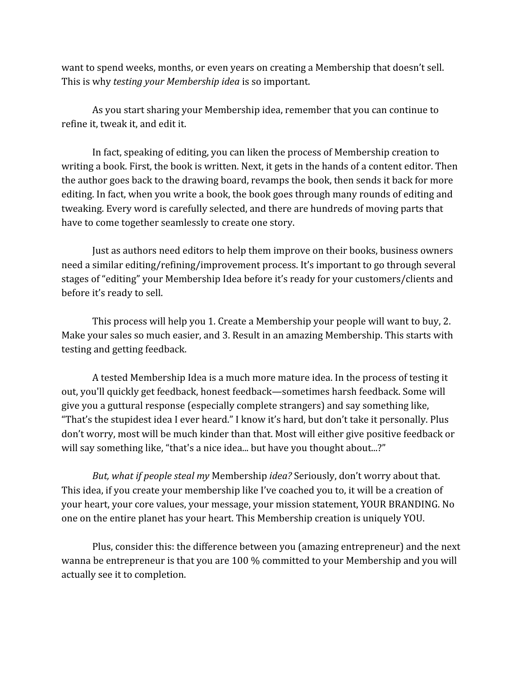want to spend weeks, months, or even years on creating a Membership that doesn't sell. This is why *testing your Membership idea* is so important.

As you start sharing your Membership idea, remember that you can continue to refine it, tweak it, and edit it.

In fact, speaking of editing, you can liken the process of Membership creation to writing a book. First, the book is written. Next, it gets in the hands of a content editor. Then the author goes back to the drawing board, revamps the book, then sends it back for more editing. In fact, when you write a book, the book goes through many rounds of editing and tweaking. Every word is carefully selected, and there are hundreds of moving parts that have to come together seamlessly to create one story.

Just as authors need editors to help them improve on their books, business owners need a similar editing/refining/improvement process. It's important to go through several stages of "editing" your Membership Idea before it's ready for your customers/clients and before it's ready to sell.

This process will help you 1. Create a Membership your people will want to buy, 2. Make your sales so much easier, and 3. Result in an amazing Membership. This starts with testing and getting feedback.

A tested Membership Idea is a much more mature idea. In the process of testing it out, you'll quickly get feedback, honest feedback—sometimes harsh feedback. Some will give you a guttural response (especially complete strangers) and say something like, "That's the stupidest idea I ever heard." I know it's hard, but don't take it personally. Plus don't worry, most will be much kinder than that. Most will either give positive feedback or will say something like, "that's a nice idea... but have you thought about...?"

*But, what if people steal my* Membership *idea?* Seriously, don't worry about that. This idea, if you create your membership like I've coached you to, it will be a creation of your heart, your core values, your message, your mission statement, YOUR BRANDING. No one on the entire planet has your heart. This Membership creation is uniquely YOU.

Plus, consider this: the difference between you (amazing entrepreneur) and the next wanna be entrepreneur is that you are 100 % committed to your Membership and you will actually see it to completion.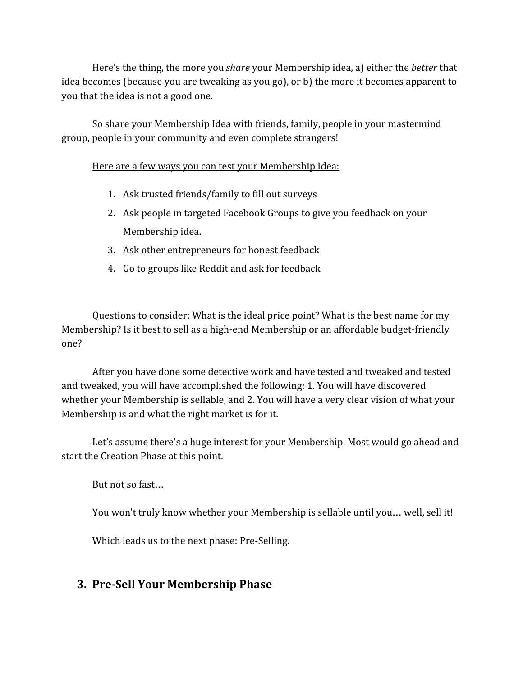Here's the thing, the more you *share* your Membership idea, a) either the *better* that idea becomes (because you are tweaking as you go), or b) the more it becomes apparent to you that the idea is not a good one.

So share your Membership Idea with friends, family, people in your mastermind group, people in your community and even complete strangers!

#### Here are a few ways you can test your Membership Idea:

- 1. Ask trusted friends/family to fill out surveys
- 2. Ask people in targeted Facebook Groups to give you feedback on your Membership idea.
- 3. Ask other entrepreneurs for honest feedback
- 4. Go to groups like Reddit and ask for feedback

Questions to consider: What is the ideal price point? What is the best name for my Membership? Is it best to sell as a high-end Membership or an affordable budget-friendly one?

After you have done some detective work and have tested and tweaked and tested and tweaked, you will have accomplished the following: 1. You will have discovered whether your Membership is sellable, and 2. You will have a very clear vision of what your Membership is and what the right market is for it.

Let's assume there's a huge interest for your Membership. Most would go ahead and start the Creation Phase at this point.

But not so fast…

You won't truly know whether your Membership is sellable until you… well, sell it!

Which leads us to the next phase: Pre-Selling.

#### **3. Pre-Sell Your Membership Phase**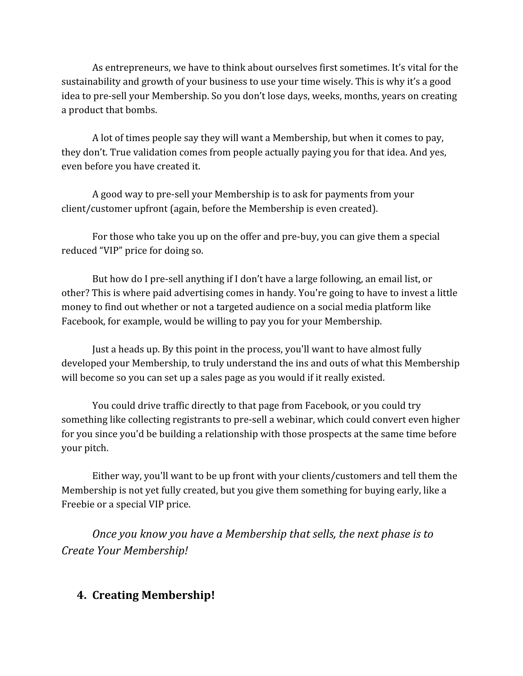As entrepreneurs, we have to think about ourselves first sometimes. It's vital for the sustainability and growth of your business to use your time wisely. This is why it's a good idea to pre-sell your Membership. So you don't lose days, weeks, months, years on creating a product that bombs.

A lot of times people say they will want a Membership, but when it comes to pay, they don't. True validation comes from people actually paying you for that idea. And yes, even before you have created it.

A good way to pre-sell your Membership is to ask for payments from your client/customer upfront (again, before the Membership is even created).

For those who take you up on the offer and pre-buy, you can give them a special reduced "VIP" price for doing so.

But how do I pre-sell anything if I don't have a large following, an email list, or other? This is where paid advertising comes in handy. You're going to have to invest a little money to find out whether or not a targeted audience on a social media platform like Facebook, for example, would be willing to pay you for your Membership.

Just a heads up. By this point in the process, you'll want to have almost fully developed your Membership, to truly understand the ins and outs of what this Membership will become so you can set up a sales page as you would if it really existed.

You could drive traffic directly to that page from Facebook, or you could try something like collecting registrants to pre-sell a webinar, which could convert even higher for you since you'd be building a relationship with those prospects at the same time before your pitch.

Either way, you'll want to be up front with your clients/customers and tell them the Membership is not yet fully created, but you give them something for buying early, like a Freebie or a special VIP price.

*Once you know you have a Membership that sells, the next phase is to Create Your Membership!*

#### **4. Creating Membership!**